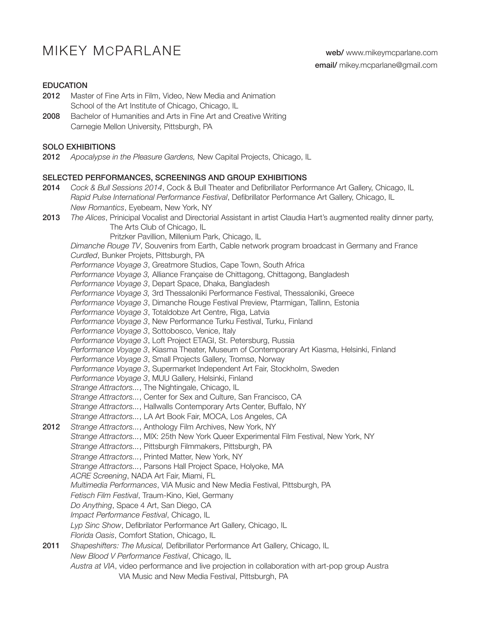# MIKEY MCPARLANE web/ www.mikeymcparlane.com

### EDUCATION

- 2012 Master of Fine Arts in Film, Video, New Media and Animation School of the Art Institute of Chicago, Chicago, IL
- 2008 Bachelor of Humanities and Arts in Fine Art and Creative Writing Carnegie Mellon University, Pittsburgh, PA

#### SOLO EXHIBITIONS

2012 *Apocalypse in the Pleasure Gardens,* New Capital Projects, Chicago, IL

#### SELECTED PERFORMANCES, SCREENINGS AND GROUP EXHIBITIONS

- 2014 *Cock & Bull Sessions 2014*, Cock & Bull Theater and Defibrillator Performance Art Gallery, Chicago, IL *Rapid Pulse International Performance Festival*, Defibrillator Performance Art Gallery, Chicago, IL *New Romantics*, Eyebeam, New York, NY
- 2013 *The Alices*, Prinicipal Vocalist and Directorial Assistant in artist Claudia Hart's augmented reality dinner party, The Arts Club of Chicago, IL
	- Pritzker Pavillion, Millenium Park, Chicago, IL

*Dimanche Rouge TV*, Souvenirs from Earth, Cable network program broadcast in Germany and France *Curdled*, Bunker Projets, Pittsburgh, PA *Performance Voyage 3*, Greatmore Studios, Cape Town, South Africa *Performance Voyage 3,* Alliance Française de Chittagong, Chittagong, Bangladesh *Performance Voyage 3*, Depart Space, Dhaka, Bangladesh *Performance Voyage 3,* 3rd Thessaloniki Performance Festival, Thessaloniki, Greece *Performance Voyage 3*, Dimanche Rouge Festival Preview, Ptarmigan, Tallinn, Estonia *Performance Voyage 3*, Totaldobze Art Centre, Riga, Latvia *Performance Voyage 3*, New Performance Turku Festival, Turku, Finland *Performance Voyage 3*, Sottobosco, Venice, Italy *Performance Voyage 3*, Loft Project ETAGI, St. Petersburg, Russia *Performance Voyage 3*, Kiasma Theater, Museum of Contemporary Art Kiasma, Helsinki, Finland *Performance Voyage 3*, Small Projects Gallery, Tromsø, Norway *Performance Voyage 3*, Supermarket Independent Art Fair, Stockholm, Sweden *Performance Voyage 3*, MUU Gallery, Helsinki, Finland *Strange Attractors...*, The Nightingale, Chicago, IL *Strange Attractors...*, Center for Sex and Culture, San Francisco, CA *Strange Attractors...*, Hallwalls Contemporary Arts Center, Buffalo, NY *Strange Attractors...*, LA Art Book Fair, MOCA, Los Angeles, CA 2012 *Strange Attractors...*, Anthology Film Archives, New York, NY *Strange Attractors...*, MIX: 25th New York Queer Experimental Film Festival, New York, NY *Strange Attractors...*, Pittsburgh Filmmakers, Pittsburgh, PA *Strange Attractors...*, Printed Matter, New York, NY *Strange Attractors...*, Parsons Hall Project Space, Holyoke, MA *ACRE Screening*, NADA Art Fair, Miami, FL *Multimedia Performances*, VIA Music and New Media Festival, Pittsburgh, PA *Fetisch Film Festival*, Traum-Kino, Kiel, Germany *Do Anything*, Space 4 Art, San Diego, CA *Impact Performance Festival*, Chicago, IL *Lyp Sinc Show*, Defibrilator Performance Art Gallery, Chicago, IL *Florida Oasis*, Comfort Station, Chicago, IL 2011 *Shapeshifters: The Musical,* Defibrillator Performance Art Gallery, Chicago, IL *New Blood V Performance Festival*, Chicago, IL *Austra at VIA*, video performance and live projection in collaboration with art-pop group Austra VIA Music and New Media Festival, Pittsburgh, PA